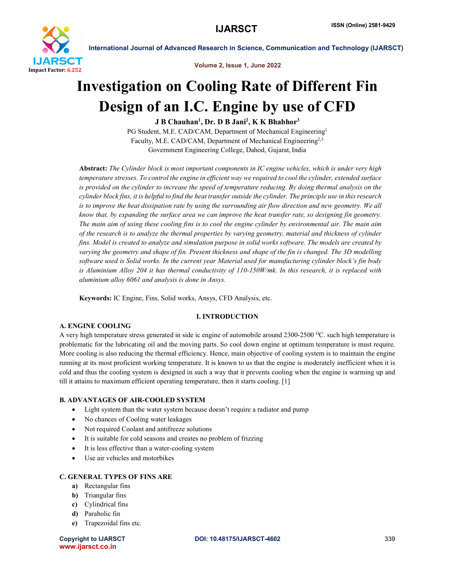

Volume 2, Issue 1, June 2022

# Investigation on Cooling Rate of Different Fin Design of an I.C. Engine by use of CFD

J B Chauhan<sup>1</sup>, Dr. D B Jani<sup>2</sup>, K K Bhabhor<sup>3</sup>

PG Student, M.E. CAD/CAM, Department of Mechanical Engineering<sup>1</sup> Faculty, M.E. CAD/CAM, Department of Mechanical Engineering<sup>2,3</sup> Government Engineering College, Dahod, Gujarat, India

Abstract: *The Cylinder block is most important components in IC engine vehicles, which is under very high temperature stresses. To control the engine in efficient way we required to cool the cylinder, extended surface is provided on the cylinder to increase the speed of temperature reducing. By doing thermal analysis on the cylinder block fins, it is helpful to find the heat transfer outside the cylinder. The principle use in this research*  is to improve the heat dissipation rate by using the surrounding air flow direction and new geometry. We all *know that, by expanding the surface area we can improve the heat transfer rate, so designing fin geometry. The main aim of using these cooling fins is to cool the engine cylinder by environmental air. The main aim of the research is to analyze the thermal properties by varying geometry, material and thickness of cylinder fins. Model is created to analyze and simulation purpose in solid works software. The models are created by varying the geometry and shape of fin. Present thickness and shape of the fin is changed. The 3D modelling software used is Solid works. In the current year Material used for manufacturing cylinder block's fin body is Aluminium Alloy 204 it has thermal conductivity of 110-150W/mk. In this research, it is replaced with aluminium alloy 6061 and analysis is done in Ansys.*

Keywords: IC Engine, Fins, Solid works, Ansys, CFD Analysis, etc.

# I. INTRODUCTION

# A. ENGINE COOLING

A very high temperature stress generated in side ic engine of automobile around  $2300$ -2500 °C, such high temperature is problematic for the lubricating oil and the moving parts. So cool down engine at optimum temperature is must require. More cooling is also reducing the thermal efficiency. Hence, main objective of cooling system is to maintain the engine running at its most proficient working temperature. It is known to us that the engine is moderately inefficient when it is cold and thus the cooling system is designed in such a way that it prevents cooling when the engine is warming up and till it attains to maximum efficient operating temperature, then it starts cooling. [1]

# B. ADVANTAGES OF AIR-COOLED SYSTEM

- Light system than the water system because doesn't require a radiator and pump
- No chances of Cooling water leakages
- Not required Coolant and antifreeze solutions
- It is suitable for cold seasons and creates no problem of frizzing
- It is less effective than a water-cooling system
- Use air vehicles and motorbikes

# C. GENERAL TYPES OF FINS ARE

- a) Rectangular fins
- **b**) Triangular fins
- c) Cylindrical fins
- d) Parabolic fin
- e) Trapezoidal fins etc.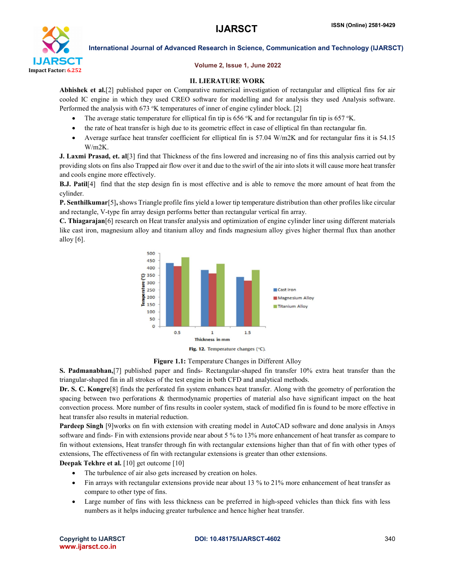

# Volume 2, Issue 1, June 2022

# II. LIERATURE WORK

Abhishek et al.[2] published paper on Comparative numerical investigation of rectangular and elliptical fins for air cooled IC engine in which they used CREO software for modelling and for analysis they used Analysis software. Performed the analysis with 673 °K temperatures of inner of engine cylinder block. [2]

- The average static temperature for elliptical fin tip is 656  $\,^{\circ}$ K and for rectangular fin tip is 657  $\,^{\circ}$ K.
- the rate of heat transfer is high due to its geometric effect in case of elliptical fin than rectangular fin.
- Average surface heat transfer coefficient for elliptical fin is 57.04 W/m2K and for rectangular fins it is 54.15 W/m2K.

**J. Laxmi Prasad, et. al**[3] find that Thickness of the fins lowered and increasing no of fins this analysis carried out by providing slots on fins also Trapped air flow over it and due to the swirl of the air into slots it will cause more heat transfer and cools engine more effectively.

B.J. Patil[4] find that the step design fin is most effective and is able to remove the more amount of heat from the cylinder.

P. Senthilkumar<sup>[5]</sup>, shows Triangle profile fins yield a lower tip temperature distribution than other profiles like circular and rectangle, V-type fin array design performs better than rectangular vertical fin array.

C. Thiagarajan[6] research on Heat transfer analysis and optimization of engine cylinder liner using different materials like cast iron, magnesium alloy and titanium alloy and finds magnesium alloy gives higher thermal flux than another alloy [6].





S. Padmanabhan,[7] published paper and finds- Rectangular-shaped fin transfer 10% extra heat transfer than the triangular-shaped fin in all strokes of the test engine in both CFD and analytical methods.

Dr. S. C. Kongre[8] finds the perforated fin system enhances heat transfer. Along with the geometry of perforation the spacing between two perforations & thermodynamic properties of material also have significant impact on the heat convection process. More number of fins results in cooler system, stack of modified fin is found to be more effective in heat transfer also results in material reduction.

Pardeep Singh [9]works on fin with extension with creating model in AutoCAD software and done analysis in Ansys software and finds- Fin with extensions provide near about 5 % to 13% more enhancement of heat transfer as compare to fin without extensions, Heat transfer through fin with rectangular extensions higher than that of fin with other types of extensions, The effectiveness of fin with rectangular extensions is greater than other extensions.

Deepak Tekhre et al. [10] get outcome [10]

- The turbulence of air also gets increased by creation on holes.
- Fin arrays with rectangular extensions provide near about 13 % to 21% more enhancement of heat transfer as compare to other type of fins.
- Large number of fins with less thickness can be preferred in high-speed vehicles than thick fins with less numbers as it helps inducing greater turbulence and hence higher heat transfer.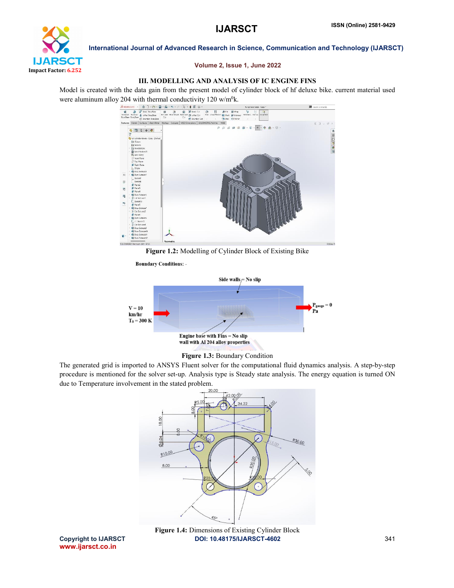

### Volume 2, Issue 1, June 2022

## III. MODELLING AND ANALYSIS OF IC ENGINE FINS

Model is created with the data gain from the present model of cylinder block of hf deluxe bike. current material used were aluminum alloy 204 with thermal conductivity 120 w/m<sup>0</sup>k.



Figure 1.2: Modelling of Cylinder Block of Existing Bike





Figure 1.3: Boundary Condition

The generated grid is imported to ANSYS Fluent solver for the computational fluid dynamics analysis. A step-by-step procedure is mentioned for the solver set-up. Analysis type is Steady state analysis. The energy equation is turned ON due to Temperature involvement in the stated problem.



Copyright to IJARSCT **DOI: 10.48175/IJARSCT-4602** 341 Figure 1.4: Dimensions of Existing Cylinder Block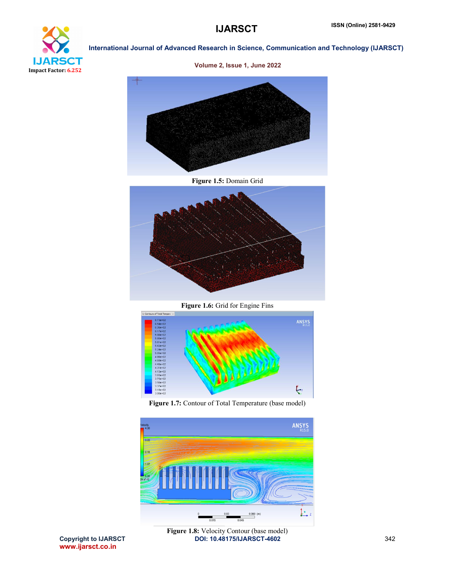



Volume 2, Issue 1, June 2022



# Figure 1.5: Domain Grid



Figure 1.6: Grid for Engine Fins







www.ijarsct.co.in

Copyright to IJARSCT **DOI: 10.48175/IJARSCT-4602** 342 Figure 1.8: Velocity Contour (base model)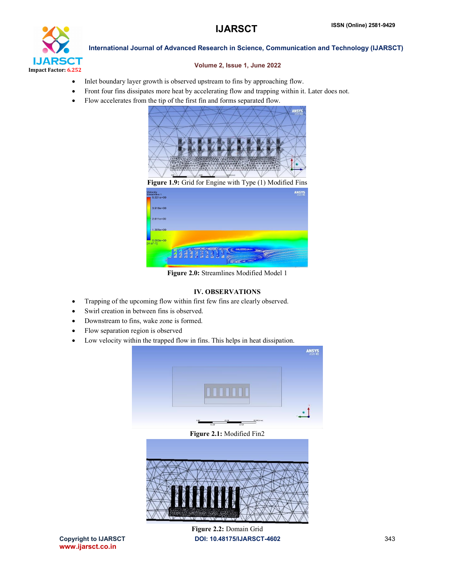

## Volume 2, Issue 1, June 2022

- Inlet boundary layer growth is observed upstream to fins by approaching flow.
- Front four fins dissipates more heat by accelerating flow and trapping within it. Later does not.
- Flow accelerates from the tip of the first fin and forms separated flow.



Figure 1.9: Grid for Engine with Type (1) Modified Fins locity<br>eamline 1<br>r 5.221e+00  $3.916e+0$  $2.611e+00$ 

Figure 2.0: Streamlines Modified Model 1

# IV. OBSERVATIONS

- Trapping of the upcoming flow within first few fins are clearly observed.
- Swirl creation in between fins is observed.
- Downstream to fins, wake zone is formed.
- Flow separation region is observed
- Low velocity within the trapped flow in fins. This helps in heat dissipation.



Figure 2.1: Modified Fin2



www.ijarsct.co.in

Copyright to IJARSCT **DOI: 10.48175/IJARSCT-4602** 343 Figure 2.2: Domain Grid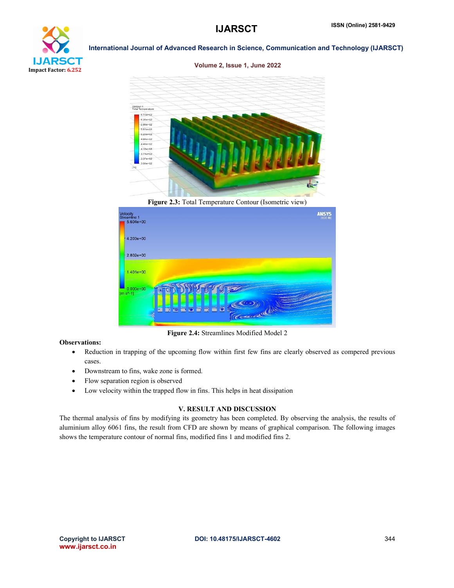

Volume 2, Issue 1, June 2022



Figure 2.3: Total Temperature Contour (Isometric view)



Figure 2.4: Streamlines Modified Model 2

# Observations:

- Reduction in trapping of the upcoming flow within first few fins are clearly observed as compered previous cases.
- Downstream to fins, wake zone is formed.
- Flow separation region is observed
- Low velocity within the trapped flow in fins. This helps in heat dissipation

## V. RESULT AND DISCUSSION

The thermal analysis of fins by modifying its geometry has been completed. By observing the analysis, the results of aluminium alloy 6061 fins, the result from CFD are shown by means of graphical comparison. The following images shows the temperature contour of normal fins, modified fins 1 and modified fins 2.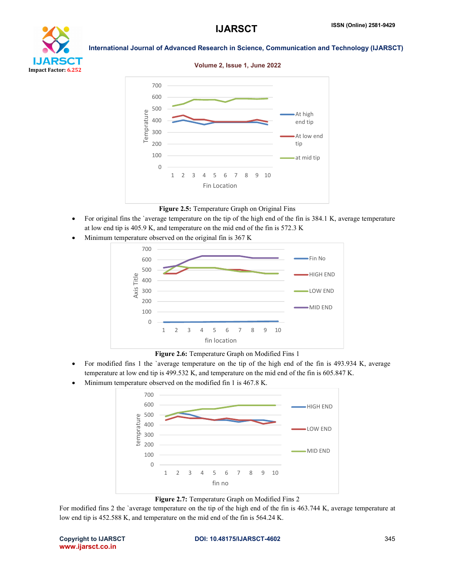

Volume 2, Issue 1, June 2022



# Figure 2.5: Temperature Graph on Original Fins

- For original fins the `average temperature on the tip of the high end of the fin is 384.1 K, average temperature at low end tip is 405.9 K, and temperature on the mid end of the fin is 572.3 K
- Minimum temperature observed on the original fin is 367 K



Figure 2.6: Temperature Graph on Modified Fins 1

- For modified fins 1 the `average temperature on the tip of the high end of the fin is 493.934 K, average temperature at low end tip is 499.532 K, and temperature on the mid end of the fin is 605.847 K.
- Minimum temperature observed on the modified fin 1 is 467.8 K.



Figure 2.7: Temperature Graph on Modified Fins 2

For modified fins 2 the `average temperature on the tip of the high end of the fin is 463.744 K, average temperature at low end tip is 452.588 K, and temperature on the mid end of the fin is 564.24 K.